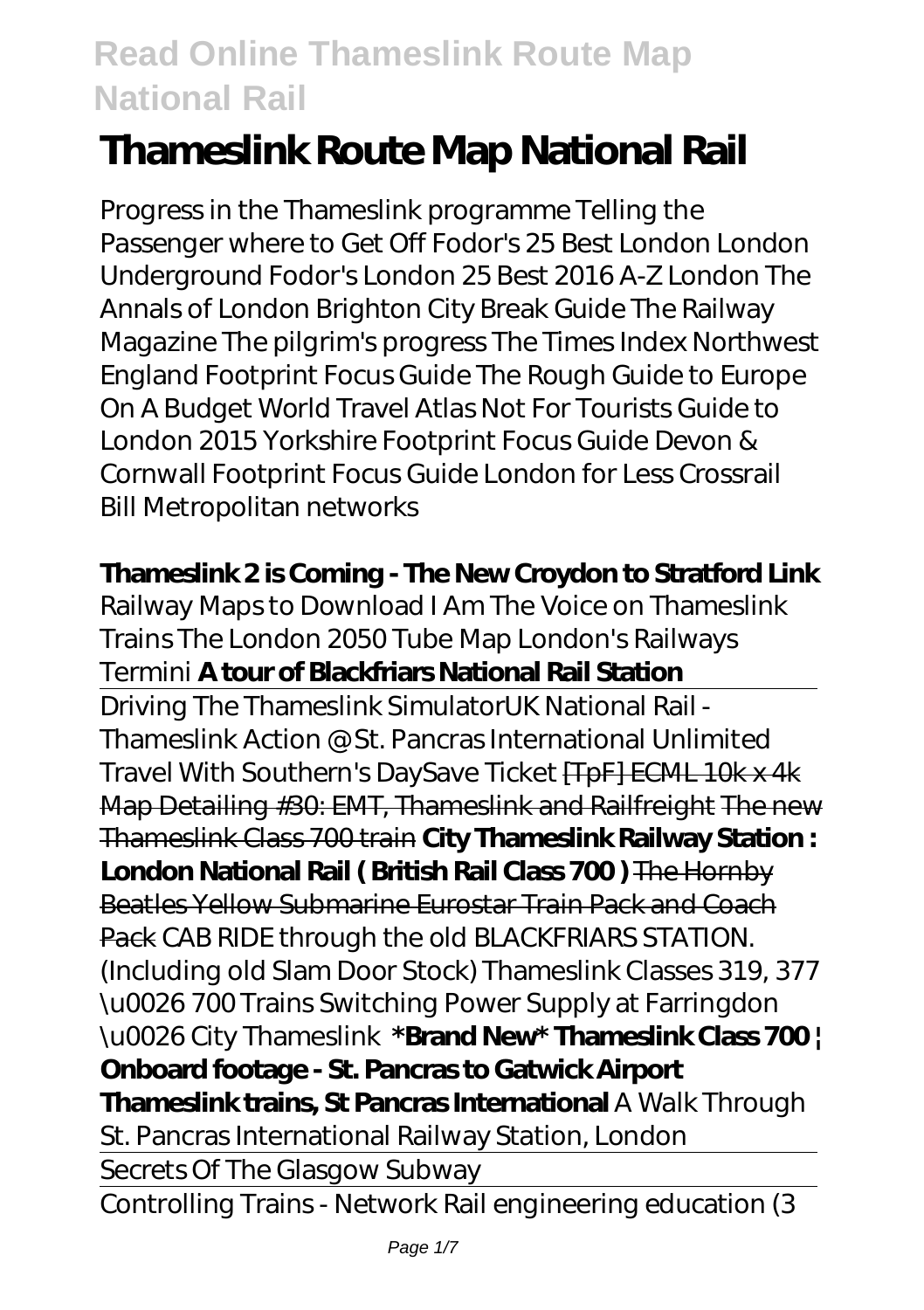# **Thameslink Route Map National Rail**

Progress in the Thameslink programme Telling the Passenger where to Get Off Fodor's 25 Best London London Underground Fodor's London 25 Best 2016 A-Z London The Annals of London Brighton City Break Guide The Railway Magazine The pilgrim's progress The Times Index Northwest England Footprint Focus Guide The Rough Guide to Europe On A Budget World Travel Atlas Not For Tourists Guide to London 2015 Yorkshire Footprint Focus Guide Devon & Cornwall Footprint Focus Guide London for Less Crossrail Bill Metropolitan networks

### **Thameslink 2 is Coming - The New Croydon to Stratford Link**

*Railway Maps to Download* I Am The Voice on Thameslink Trains The London 2050 Tube Map London's Railways Termini **A tour of Blackfriars National Rail Station**

Driving The Thameslink Simulator*UK National Rail - Thameslink Action @ St. Pancras International Unlimited Travel With Southern's DaySave Ticket* [TpF] ECML 10k x 4k Map Detailing #30: EMT, Thameslink and Railfreight The new Thameslink Class 700 train **City Thameslink Railway Station : London National Rail ( British Rail Class 700 )** The Hornby Beatles Yellow Submarine Eurostar Train Pack and Coach Pack CAB RIDE through the old BLACKFRIARS STATION. (Including old Slam Door Stock) *Thameslink Classes 319, 377 \u0026 700 Trains Switching Power Supply at Farringdon \u0026 City Thameslink* **\*Brand New\* Thameslink Class 700 | Onboard footage - St. Pancras to Gatwick Airport Thameslink trains, St Pancras International** *A Walk Through St. Pancras International Railway Station, London* Secrets Of The Glasgow Subway Controlling Trains - Network Rail engineering education (3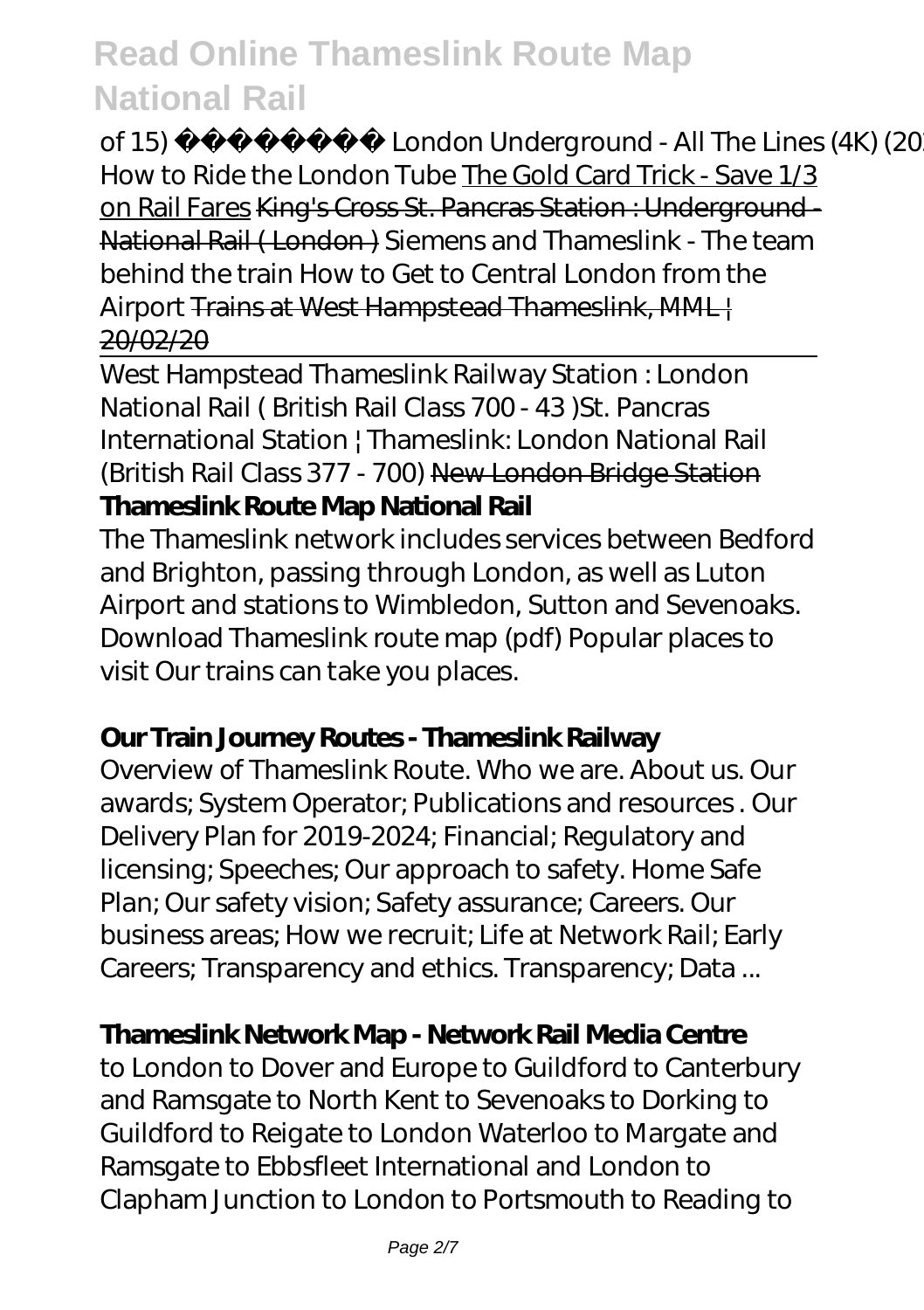of 15) London Underground - All The Lines (4K) (2020) How to Ride the London Tube The Gold Card Trick - Save 1/3 on Rail Fares King's Cross St. Pancras Station : Underground-National Rail ( London ) *Siemens and Thameslink - The team behind the train* How to Get to Central London from the Airport Trains at West Hampstead Thameslink, MML 20/02/20

West Hampstead Thameslink Railway Station : London National Rail ( British Rail Class 700 - 43 )*St. Pancras International Station | Thameslink: London National Rail (British Rail Class 377 - 700)* New London Bridge Station **Thameslink Route Map National Rail**

The Thameslink network includes services between Bedford and Brighton, passing through London, as well as Luton Airport and stations to Wimbledon, Sutton and Sevenoaks. Download Thameslink route map (pdf) Popular places to visit Our trains can take you places.

#### **Our Train Journey Routes - Thameslink Railway**

Overview of Thameslink Route. Who we are. About us. Our awards; System Operator; Publications and resources . Our Delivery Plan for 2019-2024; Financial; Regulatory and licensing; Speeches; Our approach to safety. Home Safe Plan; Our safety vision; Safety assurance; Careers. Our business areas; How we recruit; Life at Network Rail; Early Careers; Transparency and ethics. Transparency; Data ...

## **Thameslink Network Map - Network Rail Media Centre**

to London to Dover and Europe to Guildford to Canterbury and Ramsgate to North Kent to Sevenoaks to Dorking to Guildford to Reigate to London Waterloo to Margate and Ramsgate to Ebbsfleet International and London to Clapham Junction to London to Portsmouth to Reading to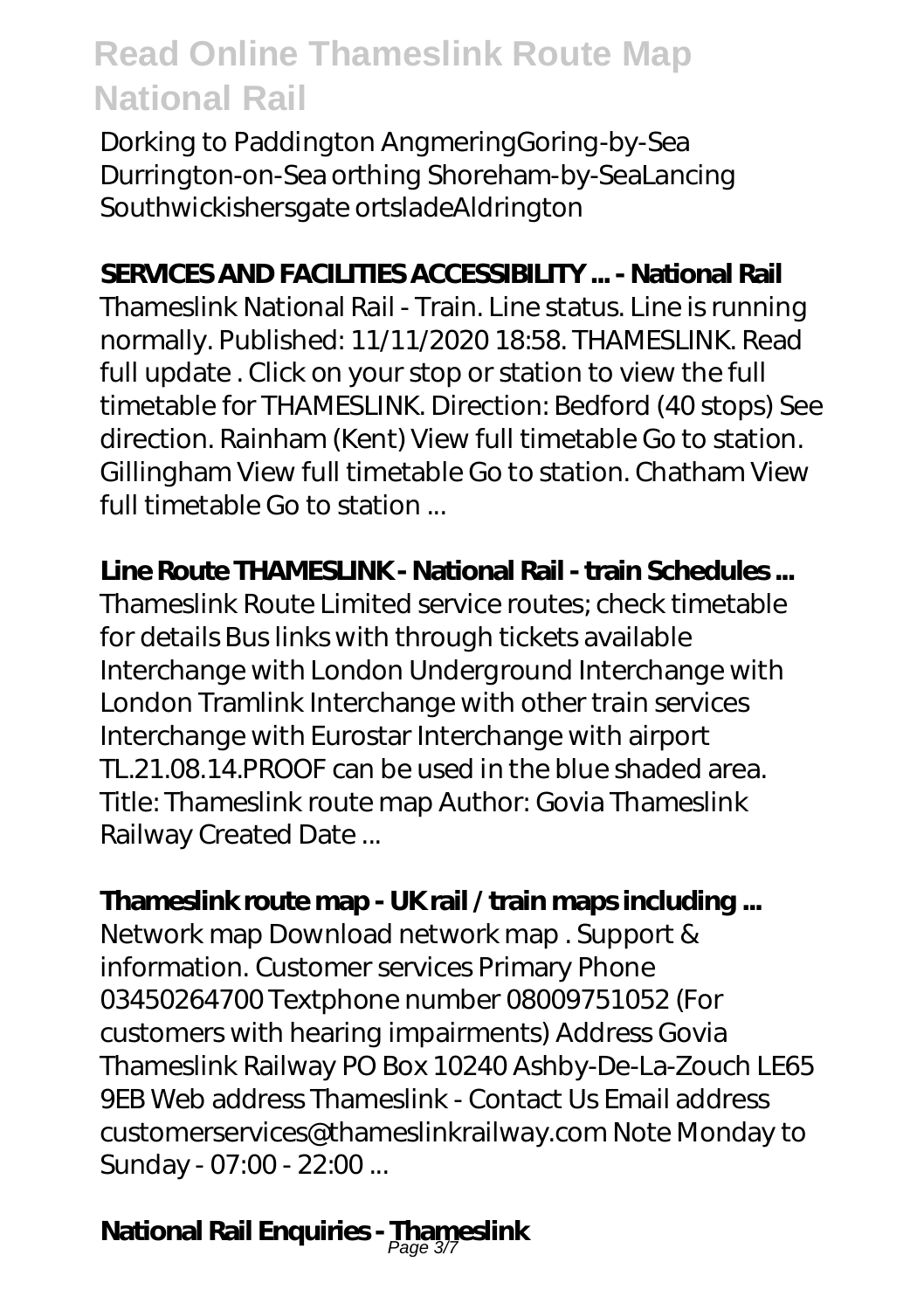Dorking to Paddington AngmeringGoring-by-Sea Durrington-on-Sea orthing Shoreham-by-SeaLancing Southwickishersgate ortsladeAldrington

## **SERVICES AND FACILITIES ACCESSIBILITY ... - National Rail**

Thameslink National Rail - Train. Line status. Line is running normally. Published: 11/11/2020 18:58. THAMESLINK. Read full update . Click on your stop or station to view the full timetable for THAMESLINK. Direction: Bedford (40 stops) See direction. Rainham (Kent) View full timetable Go to station. Gillingham View full timetable Go to station. Chatham View full timetable Go to station ...

### **Line Route THAMESLINK - National Rail - train Schedules ...**

Thameslink Route Limited service routes; check timetable for details Bus links with through tickets available Interchange with London Underground Interchange with London Tramlink Interchange with other train services Interchange with Eurostar Interchange with airport TL.21.08.14.PROOF can be used in the blue shaded area. Title: Thameslink route map Author: Govia Thameslink Railway Created Date ...

## **Thameslink route map - UK rail / train maps including ...**

Network map Download network map . Support & information. Customer services Primary Phone 03450264700 Textphone number 08009751052 (For customers with hearing impairments) Address Govia Thameslink Railway PO Box 10240 Ashby-De-La-Zouch LE65 9EB Web address Thameslink - Contact Us Email address customerservices@thameslinkrailway.com Note Monday to Sunday - 07:00 - 22:00 ...

# **National Rail Enquiries - Thameslink** Page 3/7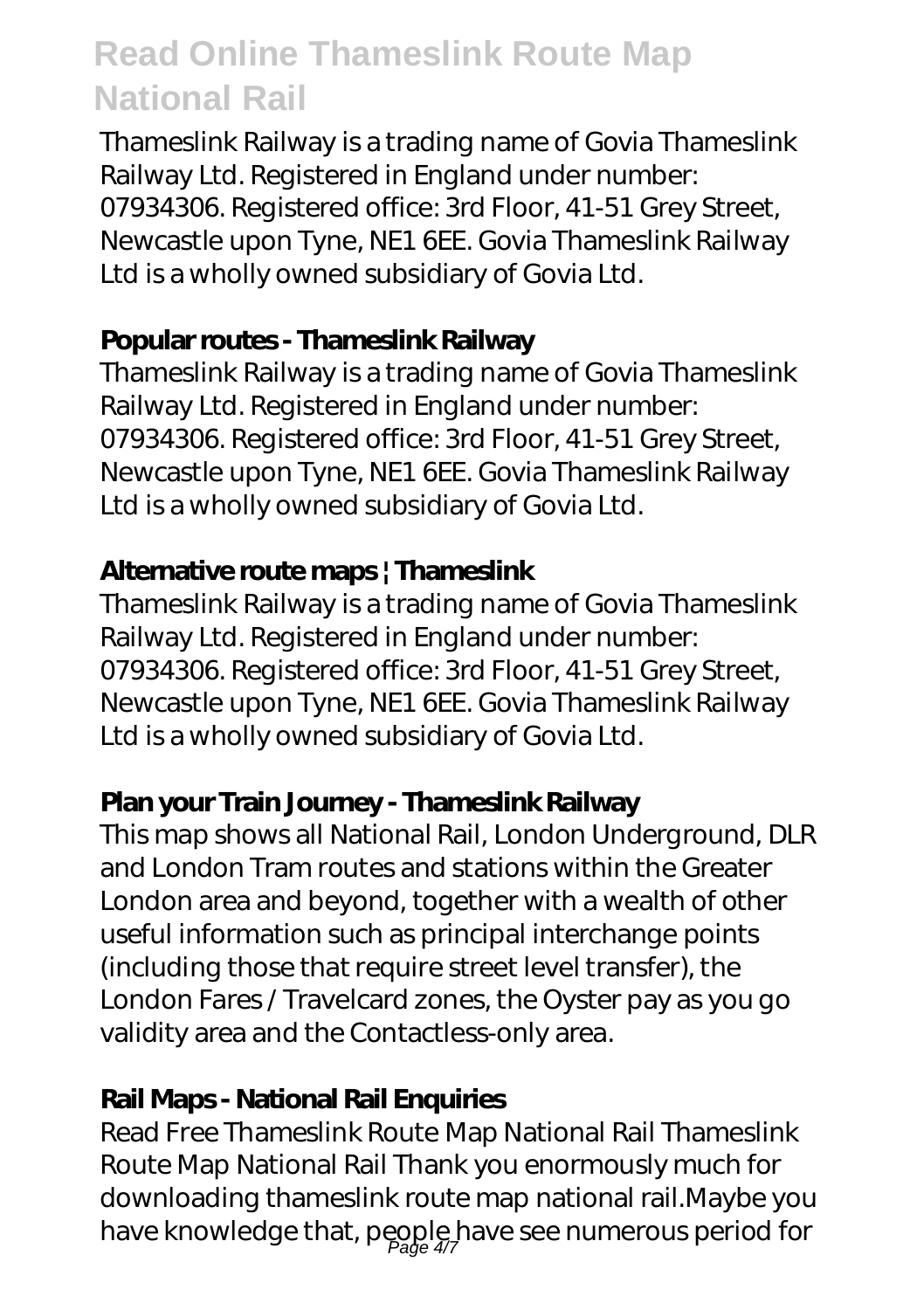Thameslink Railway is a trading name of Govia Thameslink Railway Ltd. Registered in England under number: 07934306. Registered office: 3rd Floor, 41-51 Grey Street, Newcastle upon Tyne, NE1 6EE. Govia Thameslink Railway Ltd is a wholly owned subsidiary of Govia Ltd.

## **Popular routes - Thameslink Railway**

Thameslink Railway is a trading name of Govia Thameslink Railway Ltd. Registered in England under number: 07934306. Registered office: 3rd Floor, 41-51 Grey Street, Newcastle upon Tyne, NE1 6EE. Govia Thameslink Railway Ltd is a wholly owned subsidiary of Govia Ltd.

## **Alternative route maps | Thameslink**

Thameslink Railway is a trading name of Govia Thameslink Railway Ltd. Registered in England under number: 07934306. Registered office: 3rd Floor, 41-51 Grey Street, Newcastle upon Tyne, NE1 6EE. Govia Thameslink Railway Ltd is a wholly owned subsidiary of Govia Ltd.

## **Plan your Train Journey - Thameslink Railway**

This map shows all National Rail, London Underground, DLR and London Tram routes and stations within the Greater London area and beyond, together with a wealth of other useful information such as principal interchange points (including those that require street level transfer), the London Fares / Travelcard zones, the Oyster pay as you go validity area and the Contactless-only area.

## **Rail Maps - National Rail Enquiries**

Read Free Thameslink Route Map National Rail Thameslink Route Map National Rail Thank you enormously much for downloading thameslink route map national rail.Maybe you have knowledge that, people have see numerous period for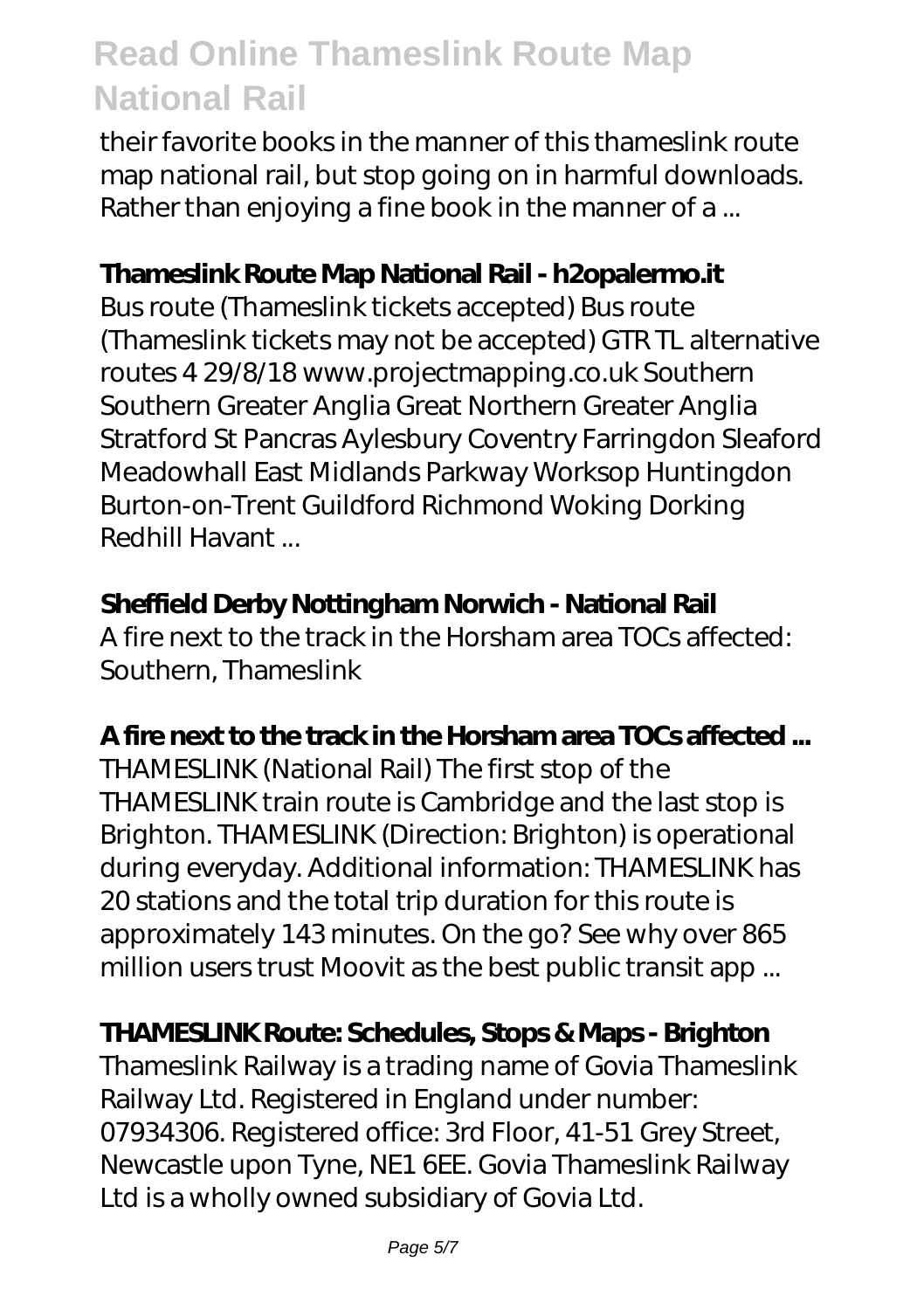their favorite books in the manner of this thameslink route map national rail, but stop going on in harmful downloads. Rather than enjoying a fine book in the manner of a ...

## **Thameslink Route Map National Rail - h2opalermo.it**

Bus route (Thameslink tickets accepted) Bus route (Thameslink tickets may not be accepted) GTR TL alternative routes 4 29/8/18 www.projectmapping.co.uk Southern Southern Greater Anglia Great Northern Greater Anglia Stratford St Pancras Aylesbury Coventry Farringdon Sleaford Meadowhall East Midlands Parkway Worksop Huntingdon Burton-on-Trent Guildford Richmond Woking Dorking Redhill Havant ...

### **Sheffield Derby Nottingham Norwich - National Rail**

A fire next to the track in the Horsham area TOCs affected: Southern, Thameslink

## **A fire next to the track in the Horsham area TOCs affected ...**

THAMESLINK (National Rail) The first stop of the THAMESLINK train route is Cambridge and the last stop is Brighton. THAMESLINK (Direction: Brighton) is operational during everyday. Additional information: THAMESLINK has 20 stations and the total trip duration for this route is approximately 143 minutes. On the go? See why over 865 million users trust Moovit as the best public transit app ...

## **THAMESLINK Route: Schedules, Stops & Maps - Brighton**

Thameslink Railway is a trading name of Govia Thameslink Railway Ltd. Registered in England under number: 07934306. Registered office: 3rd Floor, 41-51 Grey Street, Newcastle upon Tyne, NE1 6EE. Govia Thameslink Railway Ltd is a wholly owned subsidiary of Govia Ltd.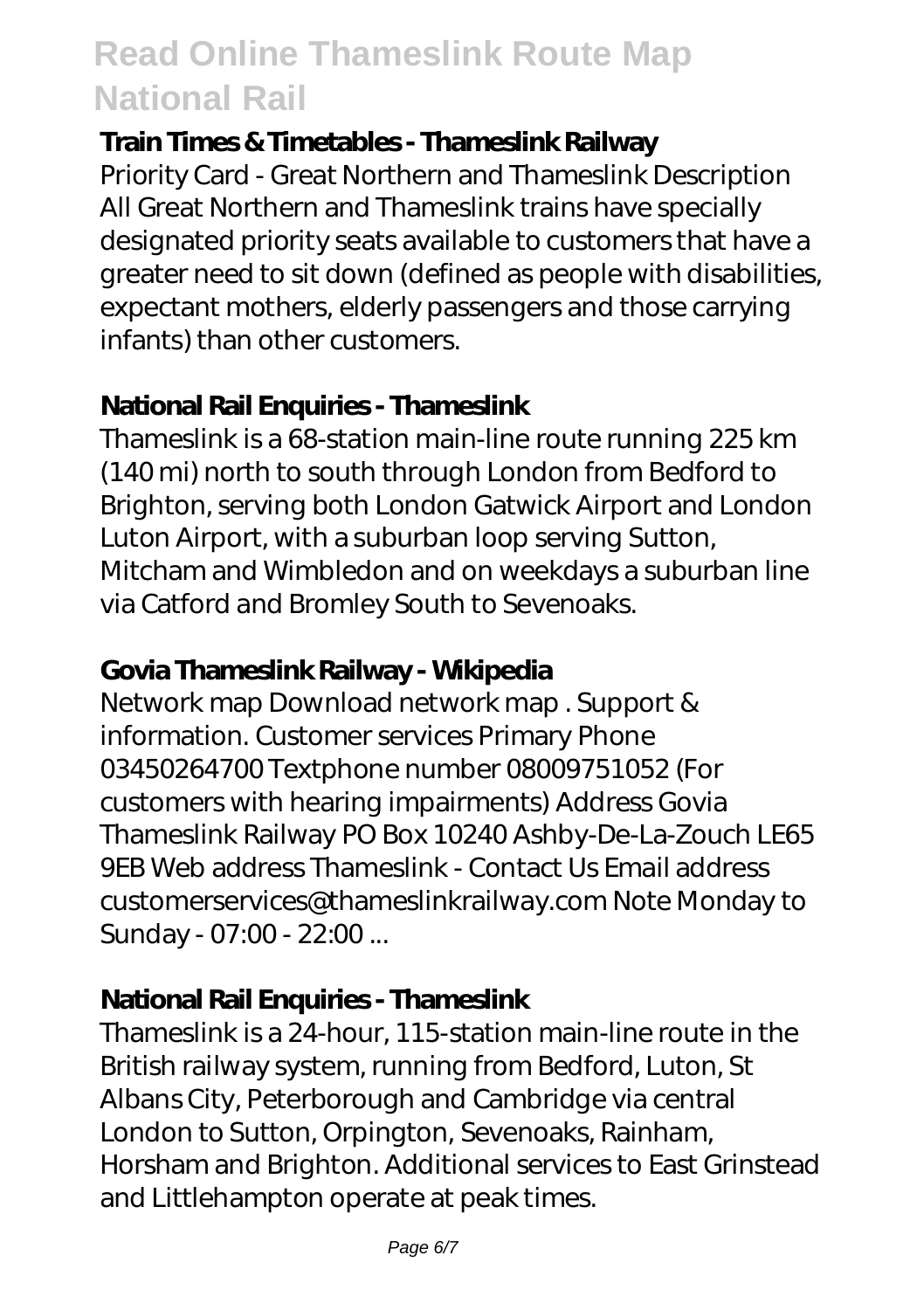### **Train Times & Timetables - Thameslink Railway**

Priority Card - Great Northern and Thameslink Description All Great Northern and Thameslink trains have specially designated priority seats available to customers that have a greater need to sit down (defined as people with disabilities, expectant mothers, elderly passengers and those carrying infants) than other customers.

## **National Rail Enquiries - Thameslink**

Thameslink is a 68-station main-line route running 225 km (140 mi) north to south through London from Bedford to Brighton, serving both London Gatwick Airport and London Luton Airport, with a suburban loop serving Sutton, Mitcham and Wimbledon and on weekdays a suburban line via Catford and Bromley South to Sevenoaks.

## **Govia Thameslink Railway - Wikipedia**

Network map Download network map . Support & information. Customer services Primary Phone 03450264700 Textphone number 08009751052 (For customers with hearing impairments) Address Govia Thameslink Railway PO Box 10240 Ashby-De-La-Zouch LE65 9EB Web address Thameslink - Contact Us Email address customerservices@thameslinkrailway.com Note Monday to Sunday - 07:00 - 22:00 ...

## **National Rail Enquiries - Thameslink**

Thameslink is a 24-hour, 115-station main-line route in the British railway system, running from Bedford, Luton, St Albans City, Peterborough and Cambridge via central London to Sutton, Orpington, Sevenoaks, Rainham, Horsham and Brighton. Additional services to East Grinstead and Littlehampton operate at peak times.